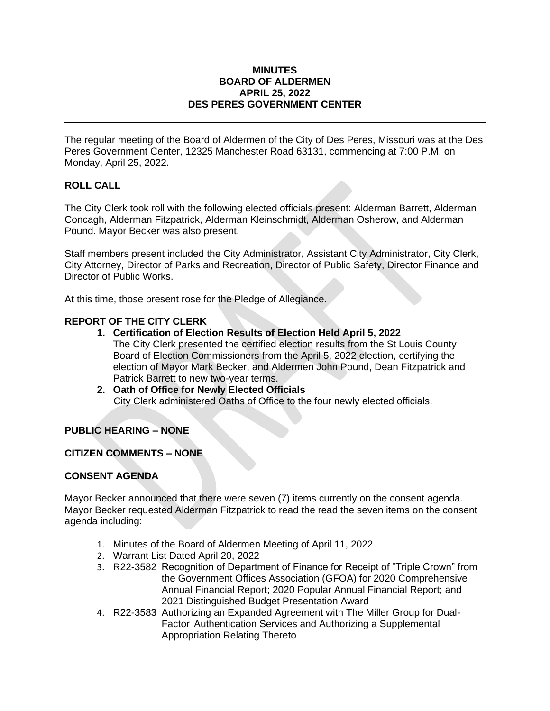#### **MINUTES BOARD OF ALDERMEN APRIL 25, 2022 DES PERES GOVERNMENT CENTER**

The regular meeting of the Board of Aldermen of the City of Des Peres, Missouri was at the Des Peres Government Center, 12325 Manchester Road 63131, commencing at 7:00 P.M. on Monday, April 25, 2022.

# **ROLL CALL**

The City Clerk took roll with the following elected officials present: Alderman Barrett, Alderman Concagh, Alderman Fitzpatrick, Alderman Kleinschmidt, Alderman Osherow, and Alderman Pound. Mayor Becker was also present.

Staff members present included the City Administrator, Assistant City Administrator, City Clerk, City Attorney, Director of Parks and Recreation, Director of Public Safety, Director Finance and Director of Public Works.

At this time, those present rose for the Pledge of Allegiance.

# **REPORT OF THE CITY CLERK**

- **1. Certification of Election Results of Election Held April 5, 2022** The City Clerk presented the certified election results from the St Louis County Board of Election Commissioners from the April 5, 2022 election, certifying the election of Mayor Mark Becker, and Aldermen John Pound, Dean Fitzpatrick and Patrick Barrett to new two-year terms.
- **2. Oath of Office for Newly Elected Officials** City Clerk administered Oaths of Office to the four newly elected officials.

# **PUBLIC HEARING – NONE**

#### **CITIZEN COMMENTS – NONE**

#### **CONSENT AGENDA**

Mayor Becker announced that there were seven (7) items currently on the consent agenda. Mayor Becker requested Alderman Fitzpatrick to read the read the seven items on the consent agenda including:

- 1. Minutes of the Board of Aldermen Meeting of April 11, 2022
- 2. Warrant List Dated April 20, 2022
- 3. R22-3582 Recognition of Department of Finance for Receipt of "Triple Crown" from the Government Offices Association (GFOA) for 2020 Comprehensive Annual Financial Report; 2020 Popular Annual Financial Report; and 2021 Distinguished Budget Presentation Award
- 4. R22-3583 Authorizing an Expanded Agreement with The Miller Group for Dual-Factor Authentication Services and Authorizing a Supplemental Appropriation Relating Thereto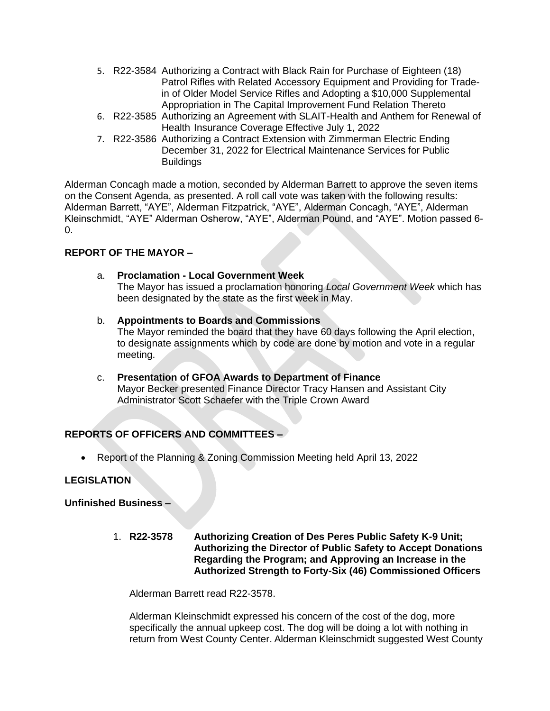- 5. R22-3584 Authorizing a Contract with Black Rain for Purchase of Eighteen (18) Patrol Rifles with Related Accessory Equipment and Providing for Tradein of Older Model Service Rifles and Adopting a \$10,000 Supplemental Appropriation in The Capital Improvement Fund Relation Thereto
- 6. R22-3585 Authorizing an Agreement with SLAIT-Health and Anthem for Renewal of Health Insurance Coverage Effective July 1, 2022
- 7. R22-3586 Authorizing a Contract Extension with Zimmerman Electric Ending December 31, 2022 for Electrical Maintenance Services for Public **Buildings**

Alderman Concagh made a motion, seconded by Alderman Barrett to approve the seven items on the Consent Agenda, as presented. A roll call vote was taken with the following results: Alderman Barrett, "AYE", Alderman Fitzpatrick, "AYE", Alderman Concagh, "AYE", Alderman Kleinschmidt, "AYE" Alderman Osherow, "AYE", Alderman Pound, and "AYE". Motion passed 6- 0.

# **REPORT OF THE MAYOR –**

# a. **Proclamation - Local Government Week**

The Mayor has issued a proclamation honoring *Local Government Week* which has been designated by the state as the first week in May.

- b. **Appointments to Boards and Commissions** The Mayor reminded the board that they have 60 days following the April election, to designate assignments which by code are done by motion and vote in a regular meeting.
- c. **Presentation of GFOA Awards to Department of Finance** Mayor Becker presented Finance Director Tracy Hansen and Assistant City Administrator Scott Schaefer with the Triple Crown Award

# **REPORTS OF OFFICERS AND COMMITTEES –**

• Report of the Planning & Zoning Commission Meeting held April 13, 2022

# **LEGISLATION**

# **Unfinished Business –**

1. **R22-3578 Authorizing Creation of Des Peres Public Safety K-9 Unit; Authorizing the Director of Public Safety to Accept Donations Regarding the Program; and Approving an Increase in the Authorized Strength to Forty-Six (46) Commissioned Officers** 

Alderman Barrett read R22-3578.

Alderman Kleinschmidt expressed his concern of the cost of the dog, more specifically the annual upkeep cost. The dog will be doing a lot with nothing in return from West County Center. Alderman Kleinschmidt suggested West County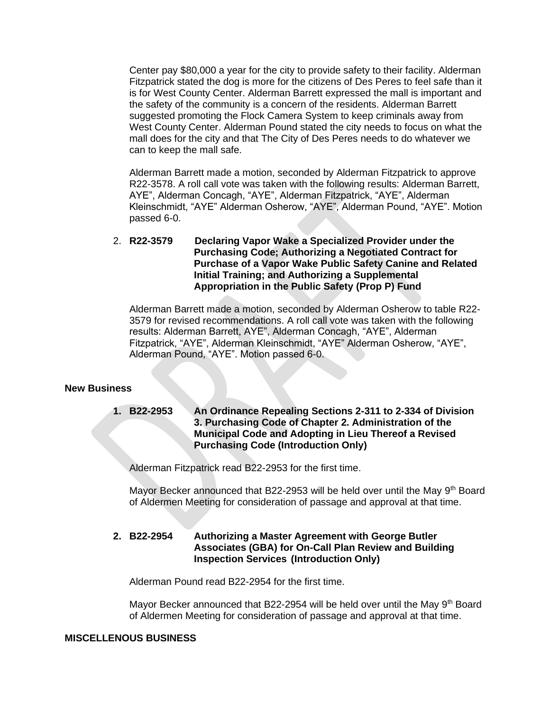Center pay \$80,000 a year for the city to provide safety to their facility. Alderman Fitzpatrick stated the dog is more for the citizens of Des Peres to feel safe than it is for West County Center. Alderman Barrett expressed the mall is important and the safety of the community is a concern of the residents. Alderman Barrett suggested promoting the Flock Camera System to keep criminals away from West County Center. Alderman Pound stated the city needs to focus on what the mall does for the city and that The City of Des Peres needs to do whatever we can to keep the mall safe.

Alderman Barrett made a motion, seconded by Alderman Fitzpatrick to approve R22-3578. A roll call vote was taken with the following results: Alderman Barrett, AYE", Alderman Concagh, "AYE", Alderman Fitzpatrick, "AYE", Alderman Kleinschmidt, "AYE" Alderman Osherow, "AYE", Alderman Pound, "AYE". Motion passed 6-0.

2. **R22-3579 Declaring Vapor Wake a Specialized Provider under the Purchasing Code; Authorizing a Negotiated Contract for Purchase of a Vapor Wake Public Safety Canine and Related Initial Training; and Authorizing a Supplemental Appropriation in the Public Safety (Prop P) Fund**

Alderman Barrett made a motion, seconded by Alderman Osherow to table R22- 3579 for revised recommendations. A roll call vote was taken with the following results: Alderman Barrett, AYE", Alderman Concagh, "AYE", Alderman Fitzpatrick, "AYE", Alderman Kleinschmidt, "AYE" Alderman Osherow, "AYE", Alderman Pound, "AYE". Motion passed 6-0.

#### **New Business**

**1. B22-2953 An Ordinance Repealing Sections 2-311 to 2-334 of Division 3. Purchasing Code of Chapter 2. Administration of the Municipal Code and Adopting in Lieu Thereof a Revised Purchasing Code (Introduction Only)**

Alderman Fitzpatrick read B22-2953 for the first time.

Mayor Becker announced that B22-2953 will be held over until the May 9<sup>th</sup> Board of Aldermen Meeting for consideration of passage and approval at that time.

#### **2. B22-2954 Authorizing a Master Agreement with George Butler Associates (GBA) for On-Call Plan Review and Building Inspection Services (Introduction Only)**

Alderman Pound read B22-2954 for the first time.

Mayor Becker announced that B22-2954 will be held over until the May 9th Board of Aldermen Meeting for consideration of passage and approval at that time.

#### **MISCELLENOUS BUSINESS**